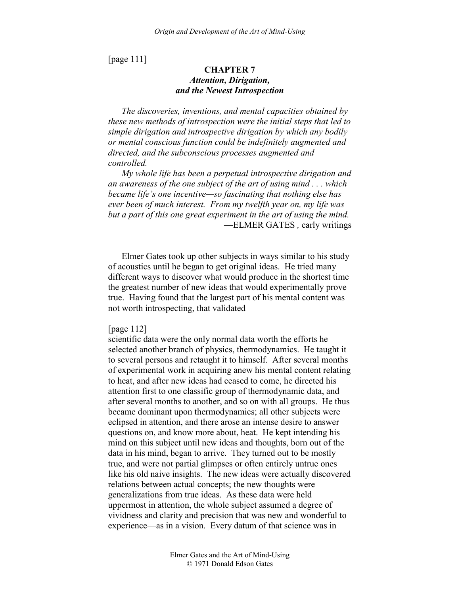[page 111]

# **CHAPTER 7**  *Attention, Dirigation, and the Newest Introspection*

*The discoveries, inventions, and mental capacities obtained by these new methods of introspection were the initial steps that led to simple dirigation and introspective dirigation by which any bodily or mental conscious function could be indefinitely augmented and directed, and the subconscious processes augmented and controlled.* 

*My whole life has been a perpetual introspective dirigation and an awareness of the one subject of the art of using mind . . . which became life's one incentive—so fascinating that nothing else has ever been of much interest. From my twelfth year on, my life was but a part of this one great experiment in the art of using the mind.*  —ELMER GATES *,* early writings

Elmer Gates took up other subjects in ways similar to his study of acoustics until he began to get original ideas. He tried many different ways to discover what would produce in the shortest time the greatest number of new ideas that would experimentally prove true. Having found that the largest part of his mental content was not worth introspecting, that validated

#### [page 112]

scientific data were the only normal data worth the efforts he selected another branch of physics, thermodynamics. He taught it to several persons and retaught it to himself. After several months of experimental work in acquiring anew his mental content relating to heat, and after new ideas had ceased to come, he directed his attention first to one classific group of thermodynamic data, and after several months to another, and so on with all groups. He thus became dominant upon thermodynamics; all other subjects were eclipsed in attention, and there arose an intense desire to answer questions on, and know more about, heat. He kept intending his mind on this subject until new ideas and thoughts, born out of the data in his mind, began to arrive. They turned out to be mostly true, and were not partial glimpses or often entirely untrue ones like his old naive insights. The new ideas were actually discovered relations between actual concepts; the new thoughts were generalizations from true ideas. As these data were held uppermost in attention, the whole subject assumed a degree of vividness and clarity and precision that was new and wonderful to experience—as in a vision. Every datum of that science was in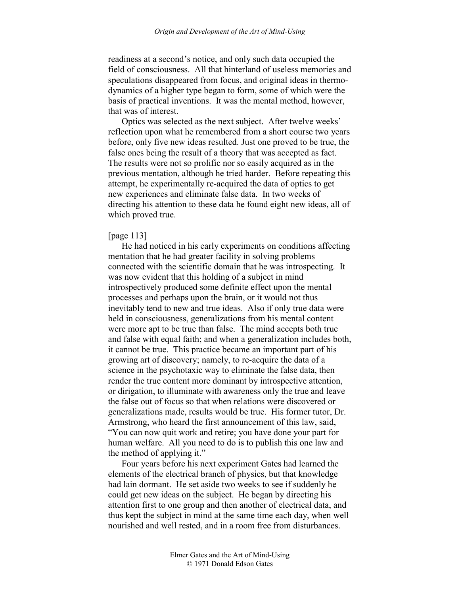readiness at a second's notice, and only such data occupied the field of consciousness. All that hinterland of useless memories and speculations disappeared from focus, and original ideas in thermodynamics of a higher type began to form, some of which were the basis of practical inventions. It was the mental method, however, that was of interest.

Optics was selected as the next subject. After twelve weeks' reflection upon what he remembered from a short course two years before, only five new ideas resulted. Just one proved to be true, the false ones being the result of a theory that was accepted as fact. The results were not so prolific nor so easily acquired as in the previous mentation, although he tried harder. Before repeating this attempt, he experimentally re-acquired the data of optics to get new experiences and eliminate false data. In two weeks of directing his attention to these data he found eight new ideas, all of which proved true.

### [page 113]

He had noticed in his early experiments on conditions affecting mentation that he had greater facility in solving problems connected with the scientific domain that he was introspecting. It was now evident that this holding of a subject in mind introspectively produced some definite effect upon the mental processes and perhaps upon the brain, or it would not thus inevitably tend to new and true ideas. Also if only true data were held in consciousness, generalizations from his mental content were more apt to be true than false. The mind accepts both true and false with equal faith; and when a generalization includes both, it cannot be true. This practice became an important part of his growing art of discovery; namely, to re-acquire the data of a science in the psychotaxic way to eliminate the false data, then render the true content more dominant by introspective attention, or dirigation, to illuminate with awareness only the true and leave the false out of focus so that when relations were discovered or generalizations made, results would be true. His former tutor, Dr. Armstrong, who heard the first announcement of this law, said, "You can now quit work and retire; you have done your part for human welfare. All you need to do is to publish this one law and the method of applying it."

Four years before his next experiment Gates had learned the elements of the electrical branch of physics, but that knowledge had lain dormant. He set aside two weeks to see if suddenly he could get new ideas on the subject. He began by directing his attention first to one group and then another of electrical data, and thus kept the subject in mind at the same time each day, when well nourished and well rested, and in a room free from disturbances.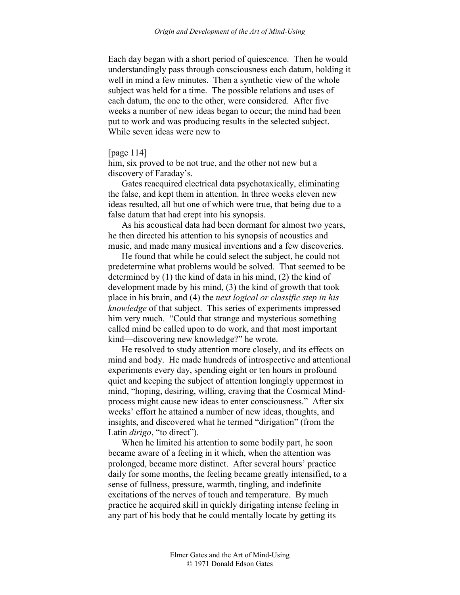Each day began with a short period of quiescence. Then he would understandingly pass through consciousness each datum, holding it well in mind a few minutes. Then a synthetic view of the whole subject was held for a time. The possible relations and uses of each datum, the one to the other, were considered. After five weeks a number of new ideas began to occur; the mind had been put to work and was producing results in the selected subject. While seven ideas were new to

## [page 114]

him, six proved to be not true, and the other not new but a discovery of Faraday's.

Gates reacquired electrical data psychotaxically, eliminating the false, and kept them in attention. In three weeks eleven new ideas resulted, all but one of which were true, that being due to a false datum that had crept into his synopsis.

As his acoustical data had been dormant for almost two years, he then directed his attention to his synopsis of acoustics and music, and made many musical inventions and a few discoveries.

He found that while he could select the subject, he could not predetermine what problems would be solved. That seemed to be determined by (1) the kind of data in his mind, (2) the kind of development made by his mind, (3) the kind of growth that took place in his brain, and (4) the *next logical or classific step in his knowledge* of that subject. This series of experiments impressed him very much. "Could that strange and mysterious something called mind be called upon to do work, and that most important kind—discovering new knowledge?" he wrote.

He resolved to study attention more closely, and its effects on mind and body. He made hundreds of introspective and attentional experiments every day, spending eight or ten hours in profound quiet and keeping the subject of attention longingly uppermost in mind, "hoping, desiring, willing, craving that the Cosmical Mindprocess might cause new ideas to enter consciousness." After six weeks' effort he attained a number of new ideas, thoughts, and insights, and discovered what he termed "dirigation" (from the Latin *dirigo*, "to direct").

When he limited his attention to some bodily part, he soon became aware of a feeling in it which, when the attention was prolonged, became more distinct. After several hours' practice daily for some months, the feeling became greatly intensified, to a sense of fullness, pressure, warmth, tingling, and indefinite excitations of the nerves of touch and temperature. By much practice he acquired skill in quickly dirigating intense feeling in any part of his body that he could mentally locate by getting its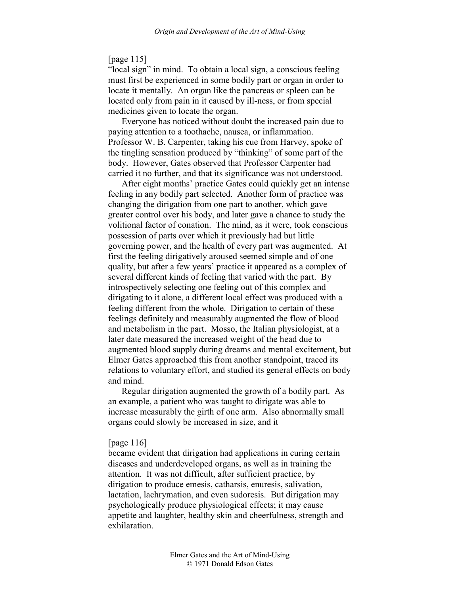### [page 115]

"local sign" in mind. To obtain a local sign, a conscious feeling must first be experienced in some bodily part or organ in order to locate it mentally. An organ like the pancreas or spleen can be located only from pain in it caused by ill-ness, or from special medicines given to locate the organ.

Everyone has noticed without doubt the increased pain due to paying attention to a toothache, nausea, or inflammation. Professor W. B. Carpenter, taking his cue from Harvey, spoke of the tingling sensation produced by "thinking" of some part of the body. However, Gates observed that Professor Carpenter had carried it no further, and that its significance was not understood.

After eight months' practice Gates could quickly get an intense feeling in any bodily part selected. Another form of practice was changing the dirigation from one part to another, which gave greater control over his body, and later gave a chance to study the volitional factor of conation. The mind, as it were, took conscious possession of parts over which it previously had but little governing power, and the health of every part was augmented. At first the feeling dirigatively aroused seemed simple and of one quality, but after a few years' practice it appeared as a complex of several different kinds of feeling that varied with the part. By introspectively selecting one feeling out of this complex and dirigating to it alone, a different local effect was produced with a feeling different from the whole. Dirigation to certain of these feelings definitely and measurably augmented the flow of blood and metabolism in the part. Mosso, the Italian physiologist, at a later date measured the increased weight of the head due to augmented blood supply during dreams and mental excitement, but Elmer Gates approached this from another standpoint, traced its relations to voluntary effort, and studied its general effects on body and mind.

Regular dirigation augmented the growth of a bodily part. As an example, a patient who was taught to dirigate was able to increase measurably the girth of one arm. Also abnormally small organs could slowly be increased in size, and it

### [page 116]

became evident that dirigation had applications in curing certain diseases and underdeveloped organs, as well as in training the attention. It was not difficult, after sufficient practice, by dirigation to produce emesis, catharsis, enuresis, salivation, lactation, lachrymation, and even sudoresis. But dirigation may psychologically produce physiological effects; it may cause appetite and laughter, healthy skin and cheerfulness, strength and exhilaration.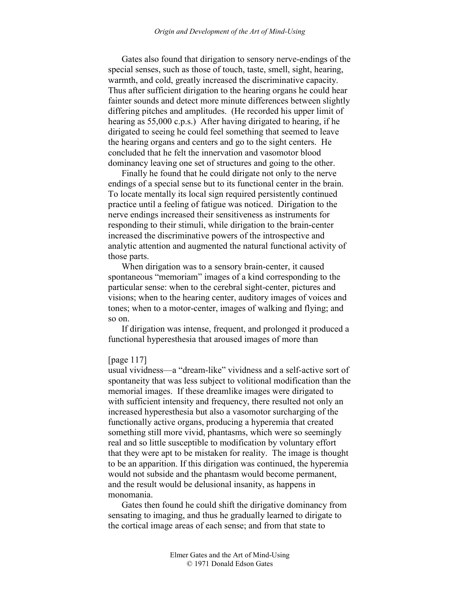Gates also found that dirigation to sensory nerve-endings of the special senses, such as those of touch, taste, smell, sight, hearing, warmth, and cold, greatly increased the discriminative capacity. Thus after sufficient dirigation to the hearing organs he could hear fainter sounds and detect more minute differences between slightly differing pitches and amplitudes. (He recorded his upper limit of hearing as 55,000 c.p.s.) After having dirigated to hearing, if he dirigated to seeing he could feel something that seemed to leave the hearing organs and centers and go to the sight centers. He concluded that he felt the innervation and vasomotor blood dominancy leaving one set of structures and going to the other.

Finally he found that he could dirigate not only to the nerve endings of a special sense but to its functional center in the brain. To locate mentally its local sign required persistently continued practice until a feeling of fatigue was noticed. Dirigation to the nerve endings increased their sensitiveness as instruments for responding to their stimuli, while dirigation to the brain-center increased the discriminative powers of the introspective and analytic attention and augmented the natural functional activity of those parts.

When dirigation was to a sensory brain-center, it caused spontaneous "memoriam" images of a kind corresponding to the particular sense: when to the cerebral sight-center, pictures and visions; when to the hearing center, auditory images of voices and tones; when to a motor-center, images of walking and flying; and so on.

If dirigation was intense, frequent, and prolonged it produced a functional hyperesthesia that aroused images of more than

# [page 117]

usual vividness—a "dream-like" vividness and a self-active sort of spontaneity that was less subject to volitional modification than the memorial images. If these dreamlike images were dirigated to with sufficient intensity and frequency, there resulted not only an increased hyperesthesia but also a vasomotor surcharging of the functionally active organs, producing a hyperemia that created something still more vivid, phantasms, which were so seemingly real and so little susceptible to modification by voluntary effort that they were apt to be mistaken for reality. The image is thought to be an apparition. If this dirigation was continued, the hyperemia would not subside and the phantasm would become permanent, and the result would be delusional insanity, as happens in monomania.

Gates then found he could shift the dirigative dominancy from sensating to imaging, and thus he gradually learned to dirigate to the cortical image areas of each sense; and from that state to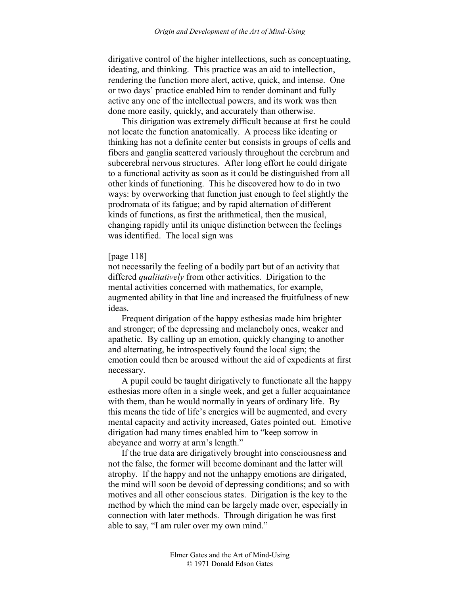dirigative control of the higher intellections, such as conceptuating, ideating, and thinking. This practice was an aid to intellection, rendering the function more alert, active, quick, and intense. One or two days' practice enabled him to render dominant and fully active any one of the intellectual powers, and its work was then done more easily, quickly, and accurately than otherwise.

This dirigation was extremely difficult because at first he could not locate the function anatomically. A process like ideating or thinking has not a definite center but consists in groups of cells and fibers and ganglia scattered variously throughout the cerebrum and subcerebral nervous structures. After long effort he could dirigate to a functional activity as soon as it could be distinguished from all other kinds of functioning. This he discovered how to do in two ways: by overworking that function just enough to feel slightly the prodromata of its fatigue; and by rapid alternation of different kinds of functions, as first the arithmetical, then the musical, changing rapidly until its unique distinction between the feelings was identified. The local sign was

## [page 118]

not necessarily the feeling of a bodily part but of an activity that differed *qualitatively* from other activities. Dirigation to the mental activities concerned with mathematics, for example, augmented ability in that line and increased the fruitfulness of new ideas.

Frequent dirigation of the happy esthesias made him brighter and stronger; of the depressing and melancholy ones, weaker and apathetic. By calling up an emotion, quickly changing to another and alternating, he introspectively found the local sign; the emotion could then be aroused without the aid of expedients at first necessary.

A pupil could be taught dirigatively to functionate all the happy esthesias more often in a single week, and get a fuller acquaintance with them, than he would normally in years of ordinary life. By this means the tide of life's energies will be augmented, and every mental capacity and activity increased, Gates pointed out. Emotive dirigation had many times enabled him to "keep sorrow in abeyance and worry at arm's length."

If the true data are dirigatively brought into consciousness and not the false, the former will become dominant and the latter will atrophy. If the happy and not the unhappy emotions are dirigated, the mind will soon be devoid of depressing conditions; and so with motives and all other conscious states. Dirigation is the key to the method by which the mind can be largely made over, especially in connection with later methods. Through dirigation he was first able to say, "I am ruler over my own mind."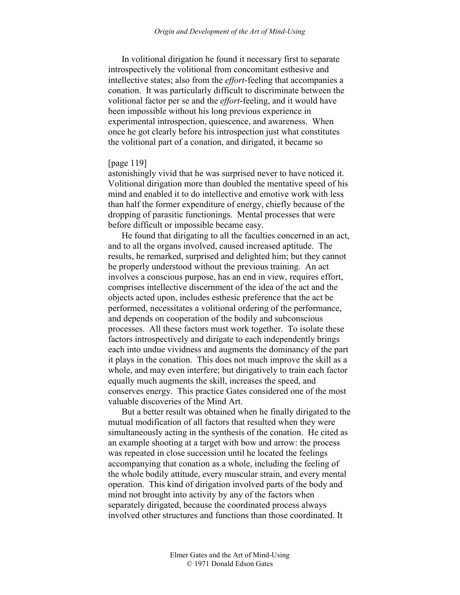In volitional dirigation he found it necessary first to separate introspectively the volitional from concomitant esthesive and intellective states; also from the *effort*-feeling that accompanies a conation. It was particularly difficult to discriminate between the volitional factor per se and the *effort*-feeling, and it would have been impossible without his long previous experience in experimental introspection, quiescence, and awareness. When once he got clearly before his introspection just what constitutes the volitional part of a conation, and dirigated, it became so

### [page 119]

astonishingly vivid that he was surprised never to have noticed it. Volitional dirigation more than doubled the mentative speed of his mind and enabled it to do intellective and emotive work with less than half the former expenditure of energy, chiefly because of the dropping of parasitic functionings. Mental processes that were before difficult or impossible became easy.

He found that dirigating to all the faculties concerned in an act, and to all the organs involved, caused increased aptitude. The results, he remarked, surprised and delighted him; but they cannot be properly understood without the previous training. An act involves a conscious purpose, has an end in view, requires effort, comprises intellective discernment of the idea of the act and the objects acted upon, includes esthesic preference that the act be performed, necessitates a volitional ordering of the performance, and depends on cooperation of the bodily and subconscious processes. All these factors must work together. To isolate these factors introspectively and dirigate to each independently brings each into undue vividness and augments the dominancy of the part it plays in the conation. This does not much improve the skill as a whole, and may even interfere; but dirigatively to train each factor equally much augments the skill, increases the speed, and conserves energy. This practice Gates considered one of the most valuable discoveries of the Mind Art.

But a better result was obtained when he finally dirigated to the mutual modification of all factors that resulted when they were simultaneously acting in the synthesis of the conation. He cited as an example shooting at a target with bow and arrow: the process was repeated in close succession until he located the feelings accompanying that conation as a whole, including the feeling of the whole bodily attitude, every muscular strain, and every mental operation. This kind of dirigation involved parts of the body and mind not brought into activity by any of the factors when separately dirigated, because the coordinated process always involved other structures and functions than those coordinated. It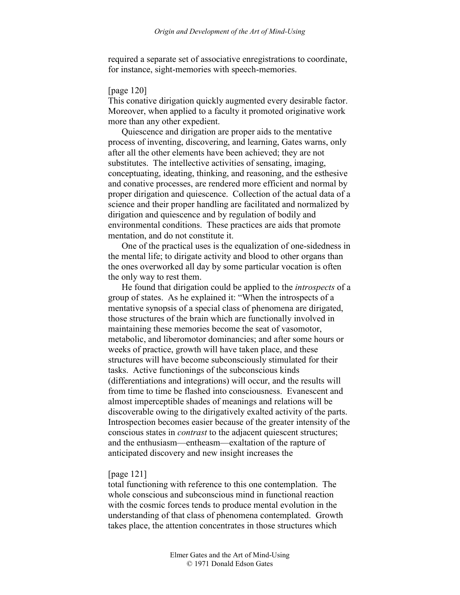required a separate set of associative enregistrations to coordinate, for instance, sight-memories with speech-memories.

## [page 120]

This conative dirigation quickly augmented every desirable factor. Moreover, when applied to a faculty it promoted originative work more than any other expedient.

Quiescence and dirigation are proper aids to the mentative process of inventing, discovering, and learning, Gates warns, only after all the other elements have been achieved; they are not substitutes. The intellective activities of sensating, imaging, conceptuating, ideating, thinking, and reasoning, and the esthesive and conative processes, are rendered more efficient and normal by proper dirigation and quiescence. Collection of the actual data of a science and their proper handling are facilitated and normalized by dirigation and quiescence and by regulation of bodily and environmental conditions. These practices are aids that promote mentation, and do not constitute it.

One of the practical uses is the equalization of one-sidedness in the mental life; to dirigate activity and blood to other organs than the ones overworked all day by some particular vocation is often the only way to rest them.

He found that dirigation could be applied to the *introspects* of a group of states. As he explained it: "When the introspects of a mentative synopsis of a special class of phenomena are dirigated, those structures of the brain which are functionally involved in maintaining these memories become the seat of vasomotor, metabolic, and liberomotor dominancies; and after some hours or weeks of practice, growth will have taken place, and these structures will have become subconsciously stimulated for their tasks. Active functionings of the subconscious kinds (differentiations and integrations) will occur, and the results will from time to time be flashed into consciousness. Evanescent and almost imperceptible shades of meanings and relations will be discoverable owing to the dirigatively exalted activity of the parts. Introspection becomes easier because of the greater intensity of the conscious states in *contrast* to the adjacent quiescent structures; and the enthusiasm—entheasm—exaltation of the rapture of anticipated discovery and new insight increases the

### [page 121]

total functioning with reference to this one contemplation. The whole conscious and subconscious mind in functional reaction with the cosmic forces tends to produce mental evolution in the understanding of that class of phenomena contemplated. Growth takes place, the attention concentrates in those structures which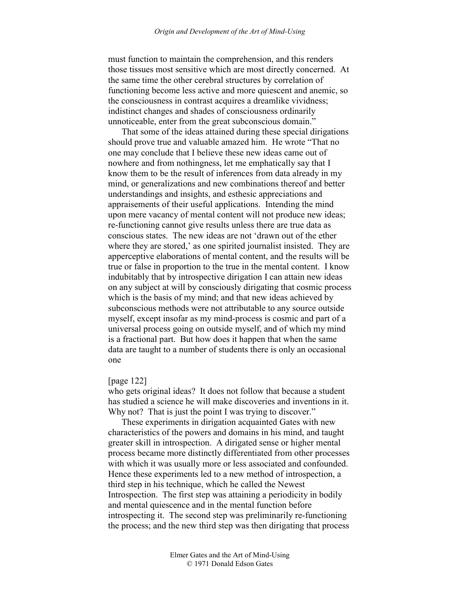must function to maintain the comprehension, and this renders those tissues most sensitive which are most directly concerned. At the same time the other cerebral structures by correlation of functioning become less active and more quiescent and anemic, so the consciousness in contrast acquires a dreamlike vividness; indistinct changes and shades of consciousness ordinarily unnoticeable, enter from the great subconscious domain."

That some of the ideas attained during these special dirigations should prove true and valuable amazed him. He wrote "That no one may conclude that I believe these new ideas came out of nowhere and from nothingness, let me emphatically say that I know them to be the result of inferences from data already in my mind, or generalizations and new combinations thereof and better understandings and insights, and esthesic appreciations and appraisements of their useful applications. Intending the mind upon mere vacancy of mental content will not produce new ideas; re-functioning cannot give results unless there are true data as conscious states. The new ideas are not 'drawn out of the ether where they are stored,' as one spirited journalist insisted. They are apperceptive elaborations of mental content, and the results will be true or false in proportion to the true in the mental content. I know indubitably that by introspective dirigation I can attain new ideas on any subject at will by consciously dirigating that cosmic process which is the basis of my mind; and that new ideas achieved by subconscious methods were not attributable to any source outside myself, except insofar as my mind-process is cosmic and part of a universal process going on outside myself, and of which my mind is a fractional part. But how does it happen that when the same data are taught to a number of students there is only an occasional one

#### [page 122]

who gets original ideas? It does not follow that because a student has studied a science he will make discoveries and inventions in it. Why not? That is just the point I was trying to discover."

These experiments in dirigation acquainted Gates with new characteristics of the powers and domains in his mind, and taught greater skill in introspection. A dirigated sense or higher mental process became more distinctly differentiated from other processes with which it was usually more or less associated and confounded. Hence these experiments led to a new method of introspection, a third step in his technique, which he called the Newest Introspection. The first step was attaining a periodicity in bodily and mental quiescence and in the mental function before introspecting it. The second step was preliminarily re-functioning the process; and the new third step was then dirigating that process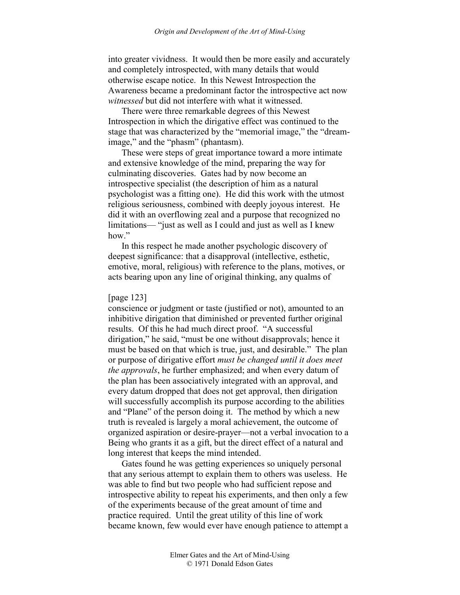into greater vividness. It would then be more easily and accurately and completely introspected, with many details that would otherwise escape notice. In this Newest Introspection the Awareness became a predominant factor the introspective act now *witnessed* but did not interfere with what it witnessed.

There were three remarkable degrees of this Newest Introspection in which the dirigative effect was continued to the stage that was characterized by the "memorial image," the "dreamimage," and the "phasm" (phantasm).

These were steps of great importance toward a more intimate and extensive knowledge of the mind, preparing the way for culminating discoveries. Gates had by now become an introspective specialist (the description of him as a natural psychologist was a fitting one). He did this work with the utmost religious seriousness, combined with deeply joyous interest. He did it with an overflowing zeal and a purpose that recognized no limitations— "just as well as I could and just as well as I knew how."

In this respect he made another psychologic discovery of deepest significance: that a disapproval (intellective, esthetic, emotive, moral, religious) with reference to the plans, motives, or acts bearing upon any line of original thinking, any qualms of

#### [page 123]

conscience or judgment or taste (justified or not), amounted to an inhibitive dirigation that diminished or prevented further original results. Of this he had much direct proof. "A successful dirigation," he said, "must be one without disapprovals; hence it must be based on that which is true, just, and desirable." The plan or purpose of dirigative effort *must be changed until it does meet the approvals*, he further emphasized; and when every datum of the plan has been associatively integrated with an approval, and every datum dropped that does not get approval, then dirigation will successfully accomplish its purpose according to the abilities and "Plane" of the person doing it. The method by which a new truth is revealed is largely a moral achievement, the outcome of organized aspiration or desire-prayer—not a verbal invocation to a Being who grants it as a gift, but the direct effect of a natural and long interest that keeps the mind intended.

Gates found he was getting experiences so uniquely personal that any serious attempt to explain them to others was useless. He was able to find but two people who had sufficient repose and introspective ability to repeat his experiments, and then only a few of the experiments because of the great amount of time and practice required. Until the great utility of this line of work became known, few would ever have enough patience to attempt a